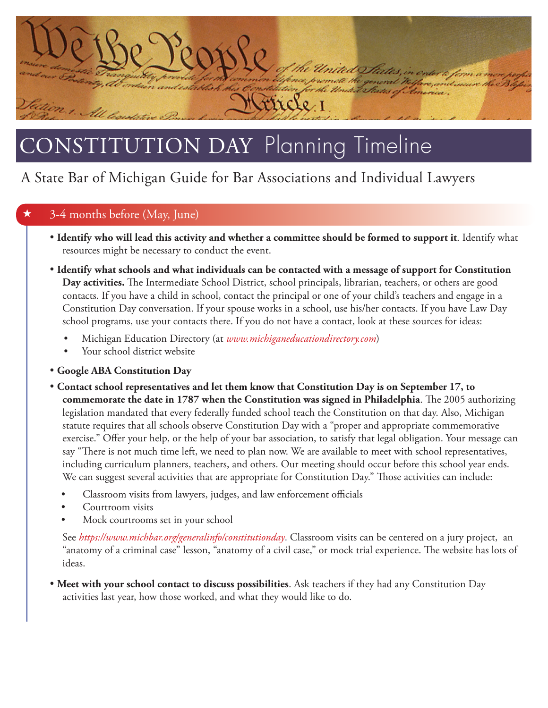

# ONSTITUTION DAY Planning Timeline

## A State Bar of Michigan Guide for Bar Associations and Individual Lawyers

### 3-4 months before (May, June)

- **Identify who will lead this activity and whether a committee should be formed to support it**. Identify what resources might be necessary to conduct the event.
- **Identify what schools and what individuals can be contacted with a message of support for Constitution Day activities.** The Intermediate School District, school principals, librarian, teachers, or others are good contacts. If you have a child in school, contact the principal or one of your child's teachers and engage in a Constitution Day conversation. If your spouse works in a school, use his/her contacts. If you have Law Day school programs, use your contacts there. If you do not have a contact, look at these sources for ideas:
	- Michigan Education Directory (at *www.michiganeducationdirectory.com*)
	- Your school district website
- **Google ABA Constitution Day**
- **Contact school representatives and let them know that Constitution Day is on September 17, to commemorate the date in 1787 when the Constitution was signed in Philadelphia**. The 2005 authorizing legislation mandated that every federally funded school teach the Constitution on that day. Also, Michigan statute requires that all schools observe Constitution Day with a "proper and appropriate commemorative exercise." Offer your help, or the help of your bar association, to satisfy that legal obligation. Your message can say "There is not much time left, we need to plan now. We are available to meet with school representatives, including curriculum planners, teachers, and others. Our meeting should occur before this school year ends. We can suggest several activities that are appropriate for Constitution Day." Those activities can include:
	- Classroom visits from lawyers, judges, and law enforcement officials
	- Courtroom visits
	- Mock courtrooms set in your school

See *<https://www.michbar.org/generalinfo/constitutionday>*. Classroom visits can be centered on a jury project, an "anatomy of a criminal case" lesson, "anatomy of a civil case," or mock trial experience. The website has lots of ideas.

 **Meet with your school contact to discuss possibilities**. Ask teachers if they had any Constitution Day activities last year, how those worked, and what they would like to do.